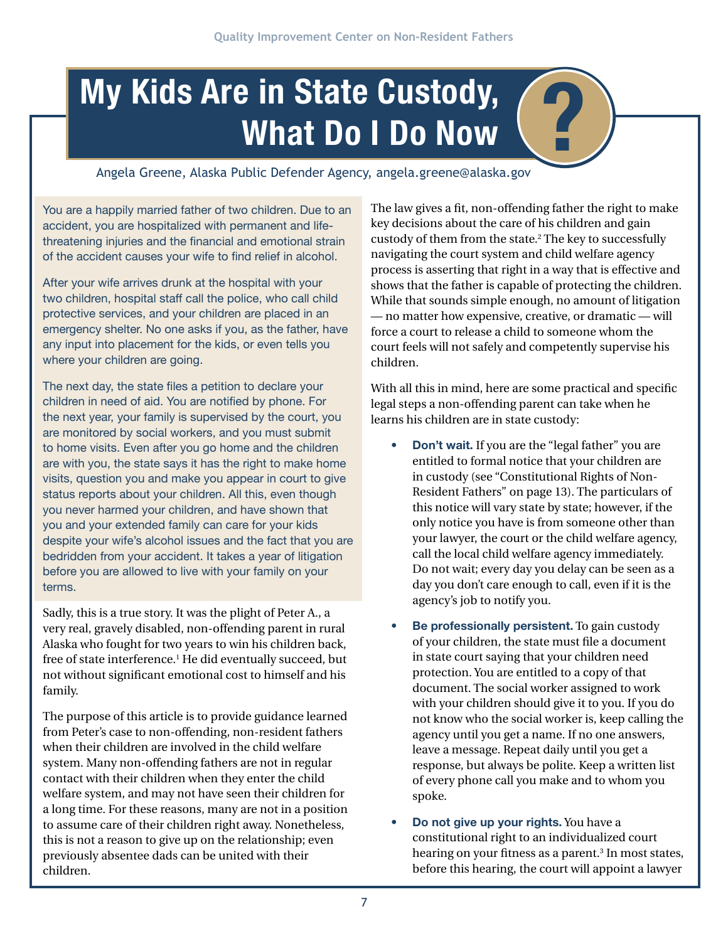## **My Kids Are in State Custody, (2)**<br>What Do I Do Now

Angela Greene, Alaska Public Defender Agency, angela.greene@alaska.gov

You are a happily married father of two children. Due to an accident, you are hospitalized with permanent and lifethreatening injuries and the financial and emotional strain of the accident causes your wife to find relief in alcohol.

After your wife arrives drunk at the hospital with your two children, hospital staff call the police, who call child protective services, and your children are placed in an emergency shelter. No one asks if you, as the father, have any input into placement for the kids, or even tells you where your children are going.

The next day, the state files a petition to declare your children in need of aid. You are notified by phone. For the next year, your family is supervised by the court, you are monitored by social workers, and you must submit to home visits. Even after you go home and the children are with you, the state says it has the right to make home visits, question you and make you appear in court to give status reports about your children. All this, even though you never harmed your children, and have shown that you and your extended family can care for your kids despite your wife's alcohol issues and the fact that you are bedridden from your accident. It takes a year of litigation before you are allowed to live with your family on your terms.

Sadly, this is a true story. It was the plight of Peter A., a very real, gravely disabled, non-offending parent in rural Alaska who fought for two years to win his children back, free of state interference.1 He did eventually succeed, but not without significant emotional cost to himself and his family.

The purpose of this article is to provide guidance learned from Peter's case to non-offending, non-resident fathers when their children are involved in the child welfare system. Many non-offending fathers are not in regular contact with their children when they enter the child welfare system, and may not have seen their children for a long time. For these reasons, many are not in a position to assume care of their children right away. Nonetheless, this is not a reason to give up on the relationship; even previously absentee dads can be united with their children.

The law gives a fit, non-offending father the right to make key decisions about the care of his children and gain custody of them from the state.2 The key to successfully navigating the court system and child welfare agency process is asserting that right in a way that is effective and shows that the father is capable of protecting the children. While that sounds simple enough, no amount of litigation — no matter how expensive, creative, or dramatic — will force a court to release a child to someone whom the court feels will not safely and competently supervise his children.

With all this in mind, here are some practical and specific legal steps a non-offending parent can take when he learns his children are in state custody:

- **• Don't wait.** If you are the "legal father" you are entitled to formal notice that your children are in custody (see "Constitutional Rights of Non-Resident Fathers" on page 13). The particulars of this notice will vary state by state; however, if the only notice you have is from someone other than your lawyer, the court or the child welfare agency, call the local child welfare agency immediately. Do not wait; every day you delay can be seen as a day you don't care enough to call, even if it is the agency's job to notify you.
- **Be professionally persistent.** To gain custody of your children, the state must file a document in state court saying that your children need protection. You are entitled to a copy of that document. The social worker assigned to work with your children should give it to you. If you do not know who the social worker is, keep calling the agency until you get a name. If no one answers, leave a message. Repeat daily until you get a response, but always be polite. Keep a written list of every phone call you make and to whom you spoke.
- **Do not give up your rights.** You have a constitutional right to an individualized court hearing on your fitness as a parent.<sup>3</sup> In most states, before this hearing, the court will appoint a lawyer